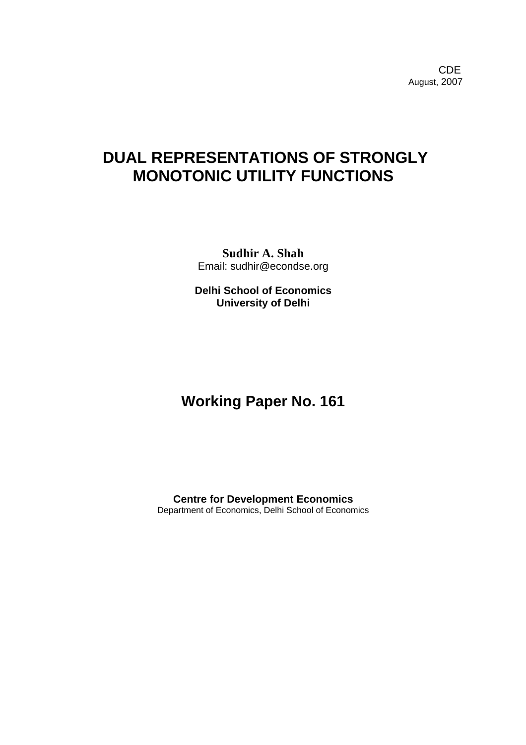**CDE COLLECTION** August, 2007

# **DUAL REPRESENTATIONS OF STRONGLY MONOTONIC UTILITY FUNCTIONS**

**Sudhir A. Shah**  Email: sudhir@econdse.org

**Delhi School of Economics University of Delhi** 

## **Working Paper No. 161**

**Centre for Development Economics**  Department of Economics, Delhi School of Economics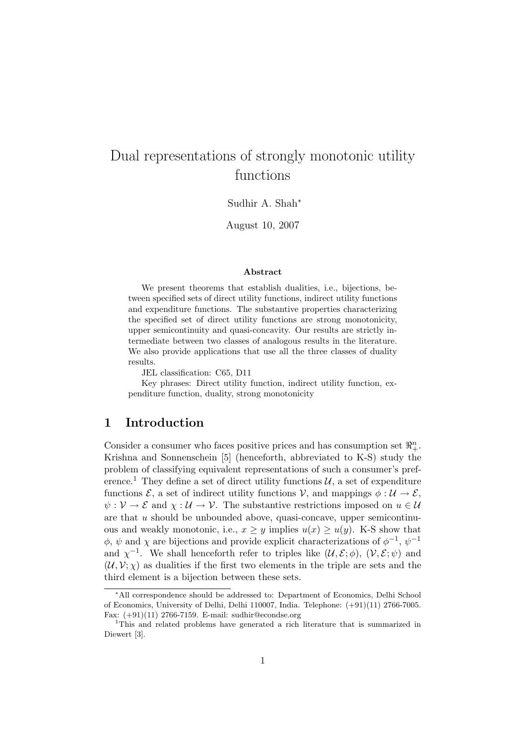## Dual representations of strongly monotonic utility functions

Sudhir A. Shah<sup>∗</sup>

August 10, 2007

#### Abstract

We present theorems that establish dualities, i.e., bijections, between specified sets of direct utility functions, indirect utility functions and expenditure functions. The substantive properties characterizing the specified set of direct utility functions are strong monotonicity, upper semicontinuity and quasi-concavity. Our results are strictly intermediate between two classes of analogous results in the literature. We also provide applications that use all the three classes of duality results.

JEL classification: C65, D11

Key phrases: Direct utility function, indirect utility function, expenditure function, duality, strong monotonicity

### 1 Introduction

Consider a consumer who faces positive prices and has consumption set  $\mathbb{R}^n_+$ . Krishna and Sonnenschein [5] (henceforth, abbreviated to K-S) study the problem of classifying equivalent representations of such a consumer's preference.<sup>1</sup> They define a set of direct utility functions  $\mathcal{U}$ , a set of expenditure functions  $\mathcal{E}$ , a set of indirect utility functions  $\mathcal{V}$ , and mappings  $\phi : \mathcal{U} \to \mathcal{E}$ ,  $\psi: \mathcal{V} \to \mathcal{E}$  and  $\chi: \mathcal{U} \to \mathcal{V}$ . The substantive restrictions imposed on  $u \in \mathcal{U}$ are that  $u$  should be unbounded above, quasi-concave, upper semicontinuous and weakly monotonic, i.e.,  $x \geq y$  implies  $u(x) \geq u(y)$ . K-S show that  $\phi$ ,  $\psi$  and  $\chi$  are bijections and provide explicit characterizations of  $\phi^{-1}$ ,  $\psi^{-1}$ and  $\chi^{-1}$ . We shall henceforth refer to triples like  $(\mathcal{U}, \mathcal{E}; \phi)$ ,  $(\mathcal{V}, \mathcal{E}; \psi)$  and  $(U, V; \chi)$  as dualities if the first two elements in the triple are sets and the third element is a bijection between these sets.

<sup>∗</sup>All correspondence should be addressed to: Department of Economics, Delhi School of Economics, University of Delhi, Delhi 110007, India. Telephone: (+91)(11) 2766-7005. Fax: (+91)(11) 2766-7159. E-mail: sudhir@econdse.org

<sup>&</sup>lt;sup>1</sup>This and related problems have generated a rich literature that is summarized in Diewert [3].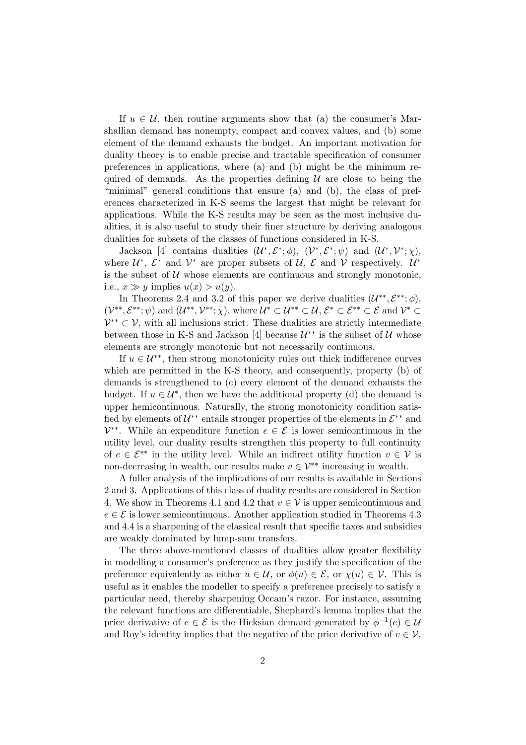If  $u \in \mathcal{U}$ , then routine arguments show that (a) the consumer's Marshallian demand has nonempty, compact and convex values, and (b) some element of the demand exhausts the budget. An important motivation for duality theory is to enable precise and tractable specification of consumer preferences in applications, where (a) and (b) might be the minimum required of demands. As the properties defining  $U$  are close to being the "minimal" general conditions that ensure (a) and (b), the class of preferences characterized in K-S seems the largest that might be relevant for applications. While the K-S results may be seen as the most inclusive dualities, it is also useful to study their finer structure by deriving analogous dualities for subsets of the classes of functions considered in K-S.

Jackson [4] contains dualities  $(\mathcal{U}^*, \mathcal{E}^*; \phi)$ ,  $(\mathcal{V}^*, \mathcal{E}^*; \psi)$  and  $(\mathcal{U}^*, \mathcal{V}^*; \chi)$ , where  $\mathcal{U}^*, \ \mathcal{E}^*$  and  $\mathcal{V}^*$  are proper subsets of  $\mathcal{U}, \ \mathcal{E}$  and  $\mathcal{V}$  respectively.  $\mathcal{U}^*$ is the subset of  $U$  whose elements are continuous and strongly monotonic, i.e.,  $x \gg y$  implies  $u(x) > u(y)$ .

In Theorems 2.4 and 3.2 of this paper we derive dualities  $(\mathcal{U}^{**}, \mathcal{E}^{**}; \phi)$ ,  $(\mathcal{V}^{**}, \mathcal{E}^{**}; \psi)$  and  $(\mathcal{U}^{**}, \mathcal{V}^{**}; \chi)$ , where  $\mathcal{U}^* \subset \mathcal{U}^{**} \subset \mathcal{U}, \mathcal{E}^* \subset \mathcal{E}^{**} \subset \mathcal{E}$  and  $\mathcal{V}^* \subset \mathcal{U}^{**}$  $\mathcal{V}^{**} \subset \mathcal{V}$ , with all inclusions strict. These dualities are strictly intermediate between those in K-S and Jackson [4] because  $\mathcal{U}^{**}$  is the subset of  $\mathcal{U}$  whose elements are strongly monotonic but not necessarily continuous.

If  $u \in \mathcal{U}^{**}$ , then strong monotonicity rules out thick indifference curves which are permitted in the K-S theory, and consequently, property (b) of demands is strengthened to (c) every element of the demand exhausts the budget. If  $u \in \mathcal{U}^*$ , then we have the additional property (d) the demand is upper hemicontinuous. Naturally, the strong monotonicity condition satisfied by elements of  $\mathcal{U}^{**}$  entails stronger properties of the elements in  $\mathcal{E}^{**}$  and  $\mathcal{V}^{**}$ . While an expenditure function  $e \in \mathcal{E}$  is lower semicontinuous in the utility level, our duality results strengthen this property to full continuity of  $e \in \mathcal{E}^{**}$  in the utility level. While an indirect utility function  $v \in \mathcal{V}$  is non-decreasing in wealth, our results make  $v \in \mathcal{V}^{**}$  increasing in wealth.

A fuller analysis of the implications of our results is available in Sections 2 and 3. Applications of this class of duality results are considered in Section 4. We show in Theorems 4.1 and 4.2 that  $v \in V$  is upper semicontinuous and  $e \in \mathcal{E}$  is lower semicontinuous. Another application studied in Theorems 4.3 and 4.4 is a sharpening of the classical result that specific taxes and subsidies are weakly dominated by lump-sum transfers.

The three above-mentioned classes of dualities allow greater flexibility in modelling a consumer's preference as they justify the specification of the preference equivalently as either  $u \in \mathcal{U}$ , or  $\phi(u) \in \mathcal{E}$ , or  $\chi(u) \in \mathcal{V}$ . This is useful as it enables the modeller to specify a preference precisely to satisfy a particular need, thereby sharpening Occam's razor. For instance, assuming the relevant functions are differentiable, Shephard's lemma implies that the price derivative of  $e \in \mathcal{E}$  is the Hicksian demand generated by  $\phi^{-1}(e) \in \mathcal{U}$ and Roy's identity implies that the negative of the price derivative of  $v \in V$ ,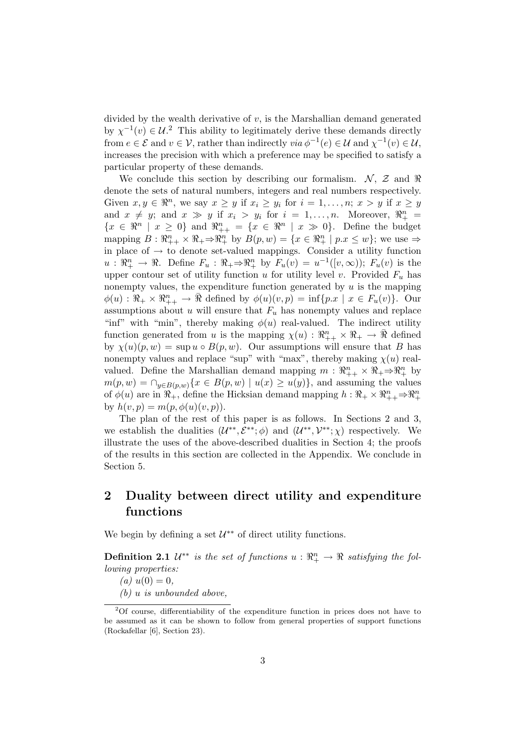divided by the wealth derivative of  $v$ , is the Marshallian demand generated by  $\chi^{-1}(v) \in \mathcal{U}^2$ . This ability to legitimately derive these demands directly from  $e \in \mathcal{E}$  and  $v \in \mathcal{V}$ , rather than indirectly  $via \phi^{-1}(e) \in \mathcal{U}$  and  $\chi^{-1}(v) \in \mathcal{U}$ , increases the precision with which a preference may be specified to satisfy a particular property of these demands.

We conclude this section by describing our formalism.  $\mathcal{N}, \mathcal{Z}$  and  $\Re$ denote the sets of natural numbers, integers and real numbers respectively. Given  $x, y \in \mathbb{R}^n$ , we say  $x \geq y$  if  $x_i \geq y_i$  for  $i = 1, \ldots, n; x > y$  if  $x \geq y$ and  $x \neq y$ ; and  $x \gg y$  if  $x_i > y_i$  for  $i = 1, ..., n$ . Moreover,  $\mathbb{R}^n_+$  ${x \in \mathbb{R}^n \mid x \geq 0}$  and  $\mathbb{R}_{++}^n = {x \in \mathbb{R}^n \mid x \gg 0}$ . Define the budget mapping  $B: \mathbb{R}^n_{++} \times \mathbb{R}_+ \Rightarrow \mathbb{R}^n_{+}$  by  $B(p, w) = \{x \in \mathbb{R}^n_{+} \mid p.x \leq w\}$ ; we use  $\Rightarrow$ in place of  $\rightarrow$  to denote set-valued mappings. Consider a utility function  $u: \mathbb{R}^n_+ \to \mathbb{R}$ . Define  $F_u: \mathbb{R}^n_+ \to \mathbb{R}^n_+$  by  $F_u(v) = u^{-1}([v, \infty))$ ;  $F_u(v)$  is the upper contour set of utility function u for utility level v. Provided  $F_u$  has nonempty values, the expenditure function generated by  $u$  is the mapping  $\phi(u) : \mathbb{R}_+ \times \mathbb{R}_{++}^n \to \bar{\mathbb{R}}$  defined by  $\phi(u)(v, p) = \inf\{p.x \mid x \in F_u(v)\}\.$  Our assumptions about u will ensure that  $F_u$  has nonempty values and replace "inf" with "min", thereby making  $\phi(u)$  real-valued. The indirect utility function generated from u is the mapping  $\chi(u) : \mathbb{R}^n_{++} \times \mathbb{R}_+ \to \bar{\mathbb{R}}$  defined by  $\chi(u)(p, w) = \sup u \circ B(p, w)$ . Our assumptions will ensure that B has nonempty values and replace "sup" with "max", thereby making  $\chi(u)$  realvalued. Define the Marshallian demand mapping  $m: \mathbb{R}^n_{++} \times \mathbb{R} \to \mathbb{R}^n_+$  by  $m(p, w) = \bigcap_{y \in B(p, w)} \{x \in B(p, w) \mid u(x) \ge u(y)\},\$ and assuming the values of  $\phi(u)$  are in  $\mathbb{R}_+^n$ , define the Hicksian demand mapping  $h : \mathbb{R}_+ \times \mathbb{R}_+^n \Rightarrow \mathbb{R}_+^n$ by  $h(v, p) = m(p, \phi(u)(v, p)).$ 

The plan of the rest of this paper is as follows. In Sections 2 and 3, we establish the dualities  $(\mathcal{U}^{**}, \mathcal{E}^{**}; \phi)$  and  $(\mathcal{U}^{**}, \mathcal{V}^{**}; \chi)$  respectively. We illustrate the uses of the above-described dualities in Section 4; the proofs of the results in this section are collected in the Appendix. We conclude in Section 5.

## 2 Duality between direct utility and expenditure functions

We begin by defining a set  $\mathcal{U}^{**}$  of direct utility functions.

**Definition 2.1**  $\mathcal{U}^{**}$  is the set of functions  $u : \mathbb{R}^n_+ \to \mathbb{R}$  satisfying the following properties:

(a)  $u(0) = 0$ ,

 $(b)$  u is unbounded above,

<sup>2</sup>Of course, differentiability of the expenditure function in prices does not have to be assumed as it can be shown to follow from general properties of support functions (Rockafellar [6], Section 23).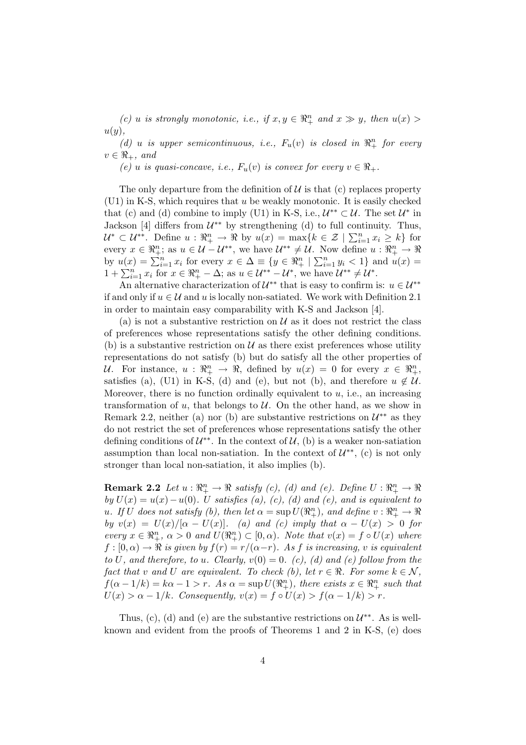(c) u is strongly monotonic, i.e., if  $x, y \in \mathbb{R}^n_+$  and  $x \gg y$ , then  $u(x) >$  $u(y)$ .

(d) u is upper semicontinuous, i.e.,  $F_u(v)$  is closed in  $\mathbb{R}^n_+$  for every  $v \in \Re_+$ , and

(e) u is quasi-concave, i.e.,  $F_u(v)$  is convex for every  $v \in \mathbb{R}_+$ .

The only departure from the definition of  $\mathcal U$  is that (c) replaces property (U1) in K-S, which requires that u be weakly monotonic. It is easily checked that (c) and (d) combine to imply (U1) in K-S, i.e.,  $\mathcal{U}^{**} \subset \mathcal{U}$ . The set  $\mathcal{U}^*$  in Jackson [4] differs from  $\mathcal{U}^{**}$  by strengthening (d) to full continuity. Thus,  $U^* \subset U^{**}$ . Define  $u : \mathbb{R}^n_+ \to \mathbb{R}$  by  $u(x) = \max\{k \in \mathcal{Z} \mid \sum_{i=1}^n x_i \geq k\}$  for every  $x \in \mathbb{R}^n_+$ ; as  $u \in \mathcal{U} - \mathcal{U}^{**}$ , we have  $\mathcal{U}^{**} \neq \mathcal{U}$ . Now define  $u : \mathbb{R}^n_+ \to \mathbb{R}$ by  $u(x) = \sum_{i=1}^{n} x_i$  for every  $x \in \Delta \equiv \{y \in \Re^n_+ \mid \sum_{i=1}^{n} y_i < 1\}$  and  $u(x) = 1 + \sum_{i=1}^{n} x_i$  for  $x \in \Re^n_+ - \Delta$ ; as  $u \in \mathcal{U}^{**} - \mathcal{U}^*$ , we have  $\mathcal{U}^{**} \neq \mathcal{U}^*$ .

An alternative characterization of  $\mathcal{U}^{**}$  that is easy to confirm is:  $u \in \mathcal{U}^{**}$ if and only if  $u \in \mathcal{U}$  and u is locally non-satiated. We work with Definition 2.1 in order to maintain easy comparability with K-S and Jackson [4].

(a) is not a substantive restriction on  $\mathcal U$  as it does not restrict the class of preferences whose representations satisfy the other defining conditions. (b) is a substantive restriction on  $\mathcal U$  as there exist preferences whose utility representations do not satisfy (b) but do satisfy all the other properties of U. For instance,  $u: \mathbb{R}^n_+ \to \mathbb{R}$ , defined by  $u(x) = 0$  for every  $x \in \mathbb{R}^n_+$ , satisfies (a), (U1) in K-S, (d) and (e), but not (b), and therefore  $u \notin U$ . Moreover, there is no function ordinally equivalent to  $u$ , i.e., an increasing transformation of  $u$ , that belongs to  $U$ . On the other hand, as we show in Remark 2.2, neither (a) nor (b) are substantive restrictions on  $\mathcal{U}^{**}$  as they do not restrict the set of preferences whose representations satisfy the other defining conditions of  $\mathcal{U}^{**}$ . In the context of  $\mathcal{U}$ , (b) is a weaker non-satiation assumption than local non-satiation. In the context of  $\mathcal{U}^{**}$ , (c) is not only stronger than local non-satiation, it also implies (b).

**Remark 2.2** Let  $u: \mathbb{R}^n_+ \to \mathbb{R}$  satisfy (c), (d) and (e). Define  $U: \mathbb{R}^n_+ \to \mathbb{R}$ by  $U(x) = u(x) - u(0)$ . U satisfies (a), (c), (d) and (e), and is equivalent to u. If U does not satisfy (b), then let  $\alpha = \sup U(\mathbb{R}^n_+)$ , and define  $v : \mathbb{R}^n_+ \to \mathbb{R}^n$ by  $v(x) = U(x)/[\alpha - U(x)]$ . (a) and (c) imply that  $\alpha - U(x) > 0$  for every  $x \in \mathbb{R}^n_+$ ,  $\alpha > 0$  and  $U(\mathbb{R}^n_+) \subset [0, \alpha)$ . Note that  $v(x) = f \circ U(x)$  where  $f : [0, \alpha) \to \Re$  is given by  $f(r) = r/(\alpha-r)$ . As f is increasing, v is equivalent to U, and therefore, to u. Clearly,  $v(0) = 0$ . (c), (d) and (e) follow from the fact that v and U are equivalent. To check (b), let  $r \in \Re$ . For some  $k \in \mathcal{N}$ ,  $f(\alpha - 1/k) = k\alpha - 1 > r$ . As  $\alpha = \sup U(\mathbb{R}^n_+)$ , there exists  $x \in \mathbb{R}^n_+$  such that  $U(x) > \alpha - 1/k$ . Consequently,  $v(x) = f \circ U(x) > f(\alpha - 1/k) > r$ .

Thus, (c), (d) and (e) are the substantive restrictions on  $\mathcal{U}^{**}$ . As is wellknown and evident from the proofs of Theorems 1 and 2 in K-S, (e) does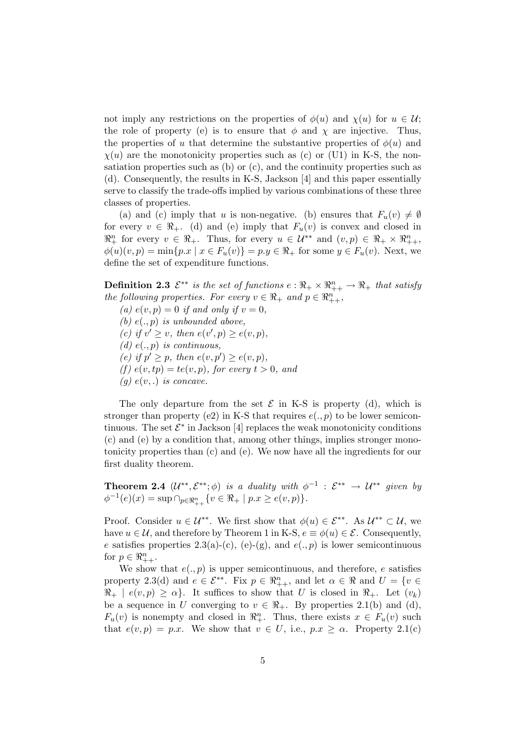not imply any restrictions on the properties of  $\phi(u)$  and  $\chi(u)$  for  $u \in \mathcal{U}$ ; the role of property (e) is to ensure that  $\phi$  and  $\chi$  are injective. Thus, the properties of u that determine the substantive properties of  $\phi(u)$  and  $\chi(u)$  are the monotonicity properties such as (c) or (U1) in K-S, the nonsatiation properties such as (b) or (c), and the continuity properties such as (d). Consequently, the results in K-S, Jackson [4] and this paper essentially serve to classify the trade-offs implied by various combinations of these three classes of properties.

(a) and (c) imply that u is non-negative. (b) ensures that  $F_u(v) \neq \emptyset$ for every  $v \in \mathbb{R}_+$ . (d) and (e) imply that  $F_u(v)$  is convex and closed in  $\mathbb{R}^n_+$  for every  $v \in \mathbb{R}_+$ . Thus, for every  $u \in \mathcal{U}^{**}$  and  $(v, p) \in \mathbb{R}_+ \times \mathbb{R}^n_{++}$ ,  $\phi(u)(v, p) = \min\{p.x \mid x \in F_u(v)\} = p.y \in \Re_+$  for some  $y \in F_u(v)$ . Next, we define the set of expenditure functions.

**Definition 2.3**  $\mathcal{E}^{**}$  is the set of functions  $e: \Re_+ \times \Re_{++}^n \to \Re_+$  that satisfy the following properties. For every  $v \in \Re_+$  and  $p \in \Re_{++}^n$ ,

(a)  $e(v, p) = 0$  if and only if  $v = 0$ , (b)  $e(., p)$  is unbounded above, (c) if  $v' \geq v$ , then  $e(v', p) \geq e(v, p)$ , (d)  $e(., p)$  is continuous, (e) if  $p' \geq p$ , then  $e(v, p') \geq e(v, p)$ , (f)  $e(v, tp) = te(v, p)$ , for every  $t > 0$ , and  $(g)$   $e(v,.)$  is concave.

The only departure from the set  $\mathcal E$  in K-S is property (d), which is stronger than property (e2) in K-S that requires  $e(., p)$  to be lower semicontinuous. The set  $\mathcal{E}^*$  in Jackson [4] replaces the weak monotonicity conditions (c) and (e) by a condition that, among other things, implies stronger monotonicity properties than (c) and (e). We now have all the ingredients for our first duality theorem.

**Theorem 2.4**  $(\mathcal{U}^{**}, \mathcal{E}^{**}; \phi)$  is a duality with  $\phi^{-1}$  :  $\mathcal{E}^{**} \to \mathcal{U}^{**}$  given by  $\phi^{-1}(e)(x) = \sup \cap_{p \in \Re^n_{++}} \{v \in \Re + | p.x \geq e(v, p) \}.$ 

Proof. Consider  $u \in \mathcal{U}^{**}$ . We first show that  $\phi(u) \in \mathcal{E}^{**}$ . As  $\mathcal{U}^{**} \subset \mathcal{U}$ , we have  $u \in \mathcal{U}$ , and therefore by Theorem 1 in K-S,  $e \equiv \phi(u) \in \mathcal{E}$ . Consequently, e satisfies properties  $2.3(a)-(c)$ ,  $(e)-(g)$ , and  $e(., p)$  is lower semicontinuous for  $p \in \Re_{++}^n$ .

We show that  $e(., p)$  is upper semicontinuous, and therefore, e satisfies property 2.3(d) and  $e \in \mathcal{E}^{**}$ . Fix  $p \in \mathbb{R}_{++}^n$ , and let  $\alpha \in \mathbb{R}$  and  $U = \{v \in \mathbb{R}_{++}^n\}$  $\Re_+ \mid e(v, p) \geq \alpha$ . It suffices to show that U is closed in  $\Re_+$ . Let  $(v_k)$ be a sequence in U converging to  $v \in \mathbb{R}_+$ . By properties 2.1(b) and (d),  $F_u(v)$  is nonempty and closed in  $\mathbb{R}^n_+$ . Thus, there exists  $x \in F_u(v)$  such that  $e(v, p) = p.x$ . We show that  $v \in U$ , i.e.,  $p.x \geq \alpha$ . Property 2.1(c)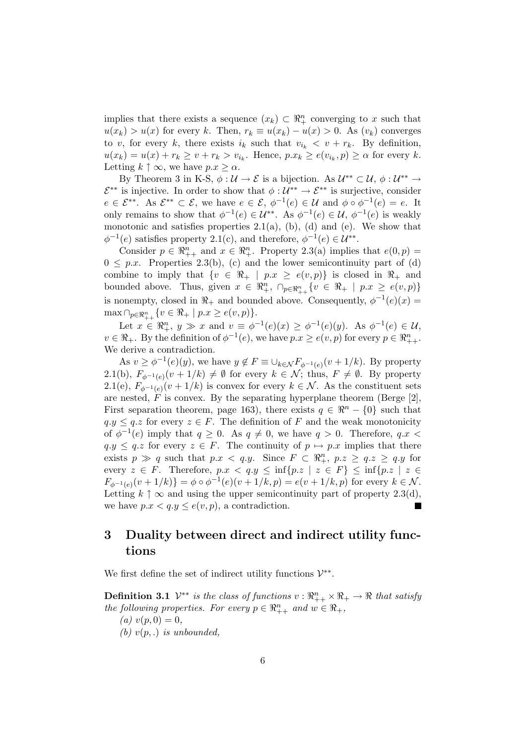implies that there exists a sequence  $(x_k) \subset \mathbb{R}^n_+$  converging to x such that  $u(x_k) > u(x)$  for every k. Then,  $r_k \equiv u(x_k) - u(x) > 0$ . As  $(v_k)$  converges to v, for every k, there exists  $i_k$  such that  $v_{i_k} < v + r_k$ . By definition,  $u(x_k) = u(x) + r_k \ge v + r_k > v_{i_k}$ . Hence,  $p.x_k \ge e(v_{i_k}, p) \ge \alpha$  for every k. Letting  $k \uparrow \infty$ , we have  $p.x \geq \alpha$ .

By Theorem 3 in K-S,  $\phi: U \to \mathcal{E}$  is a bijection. As  $U^{**} \subset U$ ,  $\phi: U^{**} \to$  $\mathcal{E}^{**}$  is injective. In order to show that  $\phi: \mathcal{U}^{**} \to \mathcal{E}^{**}$  is surjective, consider  $e \in \mathcal{E}^{**}$ . As  $\mathcal{E}^{**} \subset \mathcal{E}$ , we have  $e \in \mathcal{E}$ ,  $\phi^{-1}(e) \in \mathcal{U}$  and  $\phi \circ \phi^{-1}(e) = e$ . It only remains to show that  $\phi^{-1}(e) \in \mathcal{U}^{**}$ . As  $\phi^{-1}(e) \in \mathcal{U}$ ,  $\phi^{-1}(e)$  is weakly monotonic and satisfies properties  $2.1(a)$ , (b), (d) and (e). We show that  $\phi^{-1}(e)$  satisfies property 2.1(c), and therefore,  $\phi^{-1}(e) \in \mathcal{U}^{**}$ .

Consider  $p \in \mathbb{R}_{++}^n$  and  $x \in \mathbb{R}_{+}^n$ . Property 2.3(a) implies that  $e(0, p) =$  $0 \leq p.x$ . Properties 2.3(b), (c) and the lower semicontinuity part of (d) combine to imply that  $\{v \in \Re_+ \mid p.x \geq e(v,p)\}\$ is closed in  $\Re_+$  and bounded above. Thus, given  $x \in \mathbb{R}^n_+$ ,  $\cap_{p \in \mathbb{R}^n_{++}} \{v \in \mathbb{R}_+ \mid p.x \geq e(v,p)\}\$ is nonempty, closed in  $\Re_+$  and bounded above. Consequently,  $\phi^{-1}(e)(x) =$  $\max \cap_{p\in\Re_{++}^n} \{v\in\Re_+ \mid p.x \geq e(v,p)\}.$ 

Let  $x \in \mathbb{R}^n_+$ ,  $y \gg x$  and  $v \equiv \phi^{-1}(e)(x) \geq \phi^{-1}(e)(y)$ . As  $\phi^{-1}(e) \in \mathcal{U}$ ,  $v \in \Re_+$ . By the definition of  $\phi^{-1}(e)$ , we have  $p.x \geq e(v, p)$  for every  $p \in \Re_{++}^n$ . We derive a contradiction.

As  $v \geq \phi^{-1}(e)(y)$ , we have  $y \notin F \equiv \bigcup_{k \in \mathcal{N}} F_{\phi^{-1}(e)}(v + 1/k)$ . By property 2.1(b),  $F_{\phi^{-1}(e)}(v+1/k) \neq \emptyset$  for every  $k \in \mathcal{N}$ ; thus,  $F \neq \emptyset$ . By property 2.1(e),  $F_{\phi^{-1}(e)}(v+1/k)$  is convex for every  $k \in \mathcal{N}$ . As the constituent sets are nested,  $\overline{F}$  is convex. By the separating hyperplane theorem (Berge [2], First separation theorem, page 163), there exists  $q \in \mathbb{R}^n - \{0\}$  such that  $q.y \leq q.z$  for every  $z \in F$ . The definition of F and the weak monotonicity of  $\phi^{-1}(e)$  imply that  $q \geq 0$ . As  $q \neq 0$ , we have  $q > 0$ . Therefore,  $q.x <$  $q.y \leq q.z$  for every  $z \in F$ . The continuity of  $p \mapsto p.x$  implies that there exists  $p \gg q$  such that  $p.x < q.y$ . Since  $F \subset \mathbb{R}^n_+$ ,  $p.z \ge q.z \ge q.y$  for every  $z \in F$ . Therefore,  $p.x < q.y \leq \inf\{p.z \mid z \in F\} \leq \inf\{p.z \mid z \in F\}$  $F_{\phi^{-1}(e)}(v+1/k) = \phi \circ \phi^{-1}(e)(v+1/k,p) = e(v+1/k,p)$  for every  $k \in \mathcal{N}$ . Letting  $k \uparrow \infty$  and using the upper semicontinuity part of property 2.3(d), we have  $p.x < q.y \leq e(v, p)$ , a contradiction. г

## 3 Duality between direct and indirect utility functions

We first define the set of indirect utility functions  $\mathcal{V}^{**}$ .

**Definition 3.1**  $\mathcal{V}^{**}$  is the class of functions  $v : \mathbb{R}^n_{++} \times \mathbb{R}_+ \to \mathbb{R}$  that satisfy the following properties. For every  $p \in \mathbb{R}^n_{++}$  and  $w \in \mathbb{R}_+$ ,

(a)  $v(p, 0) = 0$ ,

(b)  $v(p,.)$  is unbounded,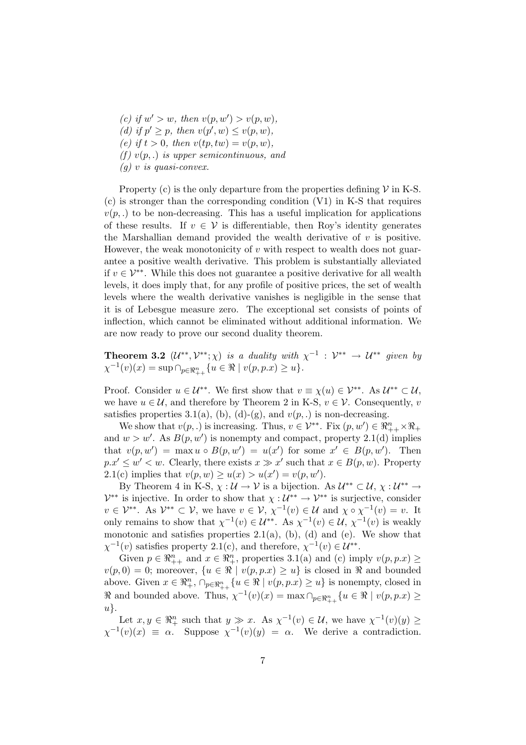(c) if  $w' > w$ , then  $v(p, w') > v(p, w)$ , (d) if  $p' \geq p$ , then  $v(p', w) \leq v(p, w)$ , (e) if  $t > 0$ , then  $v(tp, tw) = v(p, w)$ , (f)  $v(p,.)$  is upper semicontinuous, and  $(g)$  v is quasi-convex.

Property (c) is the only departure from the properties defining  $V$  in K-S. (c) is stronger than the corresponding condition (V1) in K-S that requires  $v(p,.)$  to be non-decreasing. This has a useful implication for applications of these results. If  $v \in V$  is differentiable, then Roy's identity generates the Marshallian demand provided the wealth derivative of  $v$  is positive. However, the weak monotonicity of  $v$  with respect to wealth does not guarantee a positive wealth derivative. This problem is substantially alleviated if  $v \in V^{**}$ . While this does not guarantee a positive derivative for all wealth levels, it does imply that, for any profile of positive prices, the set of wealth levels where the wealth derivative vanishes is negligible in the sense that it is of Lebesgue measure zero. The exceptional set consists of points of inflection, which cannot be eliminated without additional information. We are now ready to prove our second duality theorem.

**Theorem 3.2**  $(\mathcal{U}^{**}, \mathcal{V}^{**}; \chi)$  is a duality with  $\chi^{-1} : \mathcal{V}^{**} \to \mathcal{U}^{**}$  given by  $\chi^{-1}(v)(x) = \sup \bigcap_{p \in \Re^n_{++}} \{u \in \Re \mid v(p, p.x) \ge u\}.$ 

Proof. Consider  $u \in \mathcal{U}^{**}$ . We first show that  $v \equiv \chi(u) \in \mathcal{V}^{**}$ . As  $\mathcal{U}^{**} \subset \mathcal{U}$ , we have  $u \in \mathcal{U}$ , and therefore by Theorem 2 in K-S,  $v \in \mathcal{V}$ . Consequently, v satisfies properties 3.1(a), (b), (d)-(g), and  $v(p,.)$  is non-decreasing.

We show that  $v(p,.)$  is increasing. Thus,  $v \in \mathcal{V}^{**}$ . Fix  $(p, w') \in \Re_{++}^n \times \Re_{+}$ and  $w > w'$ . As  $B(p, w')$  is nonempty and compact, property 2.1(d) implies that  $v(p, w') = \max u \circ B(p, w') = u(x')$  for some  $x' \in B(p, w')$ . Then  $p.x' \leq w' < w$ . Clearly, there exists  $x \gg x'$  such that  $x \in B(p, w)$ . Property 2.1(c) implies that  $v(p, w) \ge u(x) > u(x') = v(p, w')$ .

By Theorem 4 in K-S,  $\chi : \mathcal{U} \to \mathcal{V}$  is a bijection. As  $\mathcal{U}^{**} \subset \mathcal{U}, \chi : \mathcal{U}^{**} \to$  $\mathcal{V}^{**}$  is injective. In order to show that  $\chi : \mathcal{U}^{**} \to \mathcal{V}^{**}$  is surjective, consider  $v \in \mathcal{V}^{**}$ . As  $\mathcal{V}^{**} \subset \mathcal{V}$ , we have  $v \in \mathcal{V}$ ,  $\chi^{-1}(v) \in \mathcal{U}$  and  $\chi \circ \chi^{-1}(v) = v$ . It only remains to show that  $\chi^{-1}(v) \in \mathcal{U}^{**}$ . As  $\chi^{-1}(v) \in \mathcal{U}$ ,  $\chi^{-1}(v)$  is weakly monotonic and satisfies properties  $2.1(a)$ , (b), (d) and (e). We show that  $\chi^{-1}(v)$  satisfies property 2.1(c), and therefore,  $\chi^{-1}(v) \in \mathcal{U}^{**}$ .

Given  $p \in \mathbb{R}_{++}^n$  and  $x \in \mathbb{R}_{+}^n$ , properties 3.1(a) and (c) imply  $v(p, p.x) \geq$  $v(p, 0) = 0$ ; moreover,  $\{u \in \Re \mid v(p, p.x) \geq u\}$  is closed in  $\Re$  and bounded above. Given  $x \in \mathbb{R}^n_+$ ,  $\cap_{p \in \mathbb{R}^n_{++}} \{u \in \mathbb{R} \mid v(p, p.x) \geq u\}$  is nonempty, closed in  $\Re$  and bounded above. Thus,  $\chi^{-1}(v)(x) = \max \bigcap_{p \in \Re^n_{++}} \{u \in \Re \mid v(p, p.x) \geq 0\}$  $u$ .

Let  $x, y \in \mathbb{R}^n_+$  such that  $y \gg x$ . As  $\chi^{-1}(v) \in \mathcal{U}$ , we have  $\chi^{-1}(v)(y) \geq$  $\chi^{-1}(v)(x) \equiv \alpha$ . Suppose  $\chi^{-1}(v)(y) = \alpha$ . We derive a contradiction.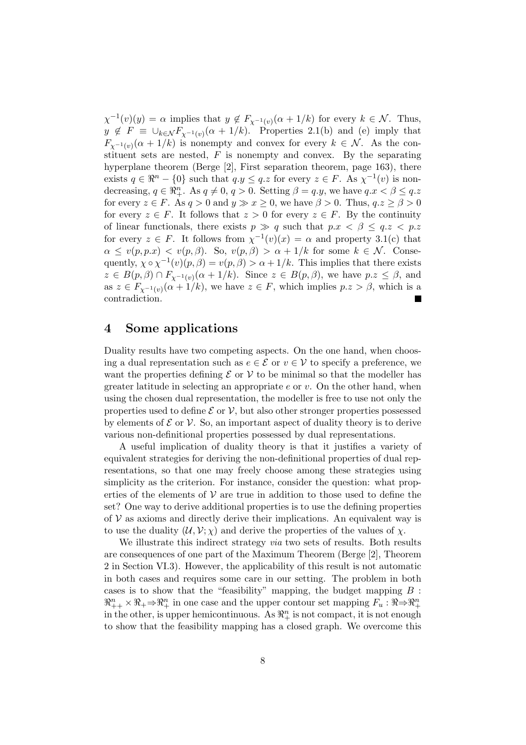$\chi^{-1}(v)(y) = \alpha$  implies that  $y \notin F_{\chi^{-1}(v)}(\alpha + 1/k)$  for every  $k \in \mathcal{N}$ . Thus,  $y \notin F \equiv \bigcup_{k \in \mathcal{N}} F_{\chi^{-1}(v)}(\alpha + 1/k)$ . Properties 2.1(b) and (e) imply that  $F_{\chi^{-1}(v)}(\alpha+1/k)$  is nonempty and convex for every  $k \in \mathcal{N}$ . As the constituent sets are nested,  $F$  is nonempty and convex. By the separating hyperplane theorem (Berge [2], First separation theorem, page 163), there exists  $q \in \mathbb{R}^n - \{0\}$  such that  $q.y \leq q.z$  for every  $z \in F$ . As  $\chi^{-1}(v)$  is nondecreasing,  $q \in \mathbb{R}^n_+$ . As  $q \neq 0$ ,  $q > 0$ . Setting  $\beta = q.y$ , we have  $q.x < \beta \leq q.z$ for every  $z \in F$ . As  $q > 0$  and  $y \gg x \ge 0$ , we have  $\beta > 0$ . Thus,  $q.z \ge \beta > 0$ for every  $z \in F$ . It follows that  $z > 0$  for every  $z \in F$ . By the continuity of linear functionals, there exists  $p \gg q$  such that  $p.x < \beta \leq q.z < p.z$ for every  $z \in F$ . It follows from  $\chi^{-1}(v)(x) = \alpha$  and property 3.1(c) that  $\alpha \le v(p, p.x) < v(p, \beta)$ . So,  $v(p, \beta) > \alpha + 1/k$  for some  $k \in \mathcal{N}$ . Consequently,  $\chi \circ \chi^{-1}(v)(p, \beta) = v(p, \beta) > \alpha + 1/k$ . This implies that there exists  $z \in B(p,\beta) \cap F_{\chi^{-1}(v)}(\alpha+1/k)$ . Since  $z \in B(p,\beta)$ , we have  $p.z \leq \beta$ , and as  $z \in F_{\chi^{-1}(v)}(\alpha + 1/k)$ , we have  $z \in F$ , which implies  $p.z > \beta$ , which is a contradiction.

### 4 Some applications

Duality results have two competing aspects. On the one hand, when choosing a dual representation such as  $e \in \mathcal{E}$  or  $v \in \mathcal{V}$  to specify a preference, we want the properties defining  $\mathcal E$  or  $\mathcal V$  to be minimal so that the modeller has greater latitude in selecting an appropriate  $e$  or  $v$ . On the other hand, when using the chosen dual representation, the modeller is free to use not only the properties used to define  $\mathcal E$  or  $\mathcal V$ , but also other stronger properties possessed by elements of  $\mathcal E$  or  $\mathcal V$ . So, an important aspect of duality theory is to derive various non-definitional properties possessed by dual representations.

A useful implication of duality theory is that it justifies a variety of equivalent strategies for deriving the non-definitional properties of dual representations, so that one may freely choose among these strategies using simplicity as the criterion. For instance, consider the question: what properties of the elements of  $V$  are true in addition to those used to define the set? One way to derive additional properties is to use the defining properties of  $V$  as axioms and directly derive their implications. An equivalent way is to use the duality  $(U, V; \chi)$  and derive the properties of the values of  $\chi$ .

We illustrate this indirect strategy *via* two sets of results. Both results are consequences of one part of the Maximum Theorem (Berge [2], Theorem 2 in Section VI.3). However, the applicability of this result is not automatic in both cases and requires some care in our setting. The problem in both cases is to show that the "feasibility" mapping, the budget mapping  $B$ :  $\mathbb{R}_{++}^n \times \mathbb{R}_+ \rightarrow \mathbb{R}_+^n$  in one case and the upper contour set mapping  $F_u : \mathbb{R} \rightarrow \mathbb{R}_+^n$ in the other, is upper hemicontinuous. As  $\mathbb{R}^n_+$  is not compact, it is not enough to show that the feasibility mapping has a closed graph. We overcome this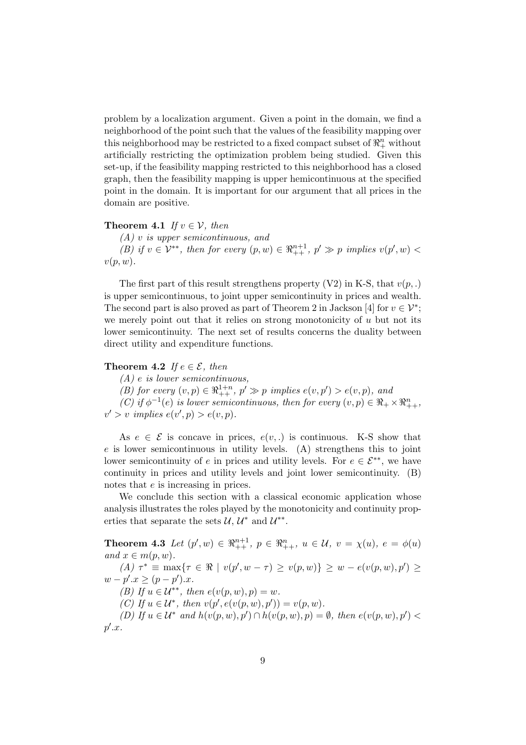problem by a localization argument. Given a point in the domain, we find a neighborhood of the point such that the values of the feasibility mapping over this neighborhood may be restricted to a fixed compact subset of  $\mathbb{R}^n_+$  without artificially restricting the optimization problem being studied. Given this set-up, if the feasibility mapping restricted to this neighborhood has a closed graph, then the feasibility mapping is upper hemicontinuous at the specified point in the domain. It is important for our argument that all prices in the domain are positive.

#### **Theorem 4.1** If  $v \in V$ , then

(A) v is upper semicontinuous, and (B) if  $v \in \mathcal{V}^{**}$ , then for every  $(p, w) \in \mathbb{R}^{n+1}_{++}$ ,  $p' \gg p$  implies  $v(p', w)$  $v(p, w)$ .

The first part of this result strengthens property  $(V2)$  in K-S, that  $v(p,.)$ is upper semicontinuous, to joint upper semicontinuity in prices and wealth. The second part is also proved as part of Theorem 2 in Jackson [4] for  $v \in \mathcal{V}^*$ ; we merely point out that it relies on strong monotonicity of  $u$  but not its lower semicontinuity. The next set of results concerns the duality between direct utility and expenditure functions.

#### Theorem 4.2 If  $e \in \mathcal{E}$ , then

(A) e is lower semicontinuous,

(B) for every  $(v, p) \in \mathbb{R}^{1+n}_{++}$ ,  $p' \gg p$  implies  $e(v, p') > e(v, p)$ , and

(C) if  $\phi^{-1}(e)$  is lower semicontinuous, then for every  $(v, p) \in \mathbb{R}_+ \times \mathbb{R}_{++}^n$ ,  $v' > v$  implies  $e(v', p) > e(v, p)$ .

As  $e \in \mathcal{E}$  is concave in prices,  $e(v,.)$  is continuous. K-S show that  $e$  is lower semicontinuous in utility levels. (A) strengthens this to joint lower semicontinuity of e in prices and utility levels. For  $e \in \mathcal{E}^{**}$ , we have continuity in prices and utility levels and joint lower semicontinuity. (B) notes that e is increasing in prices.

We conclude this section with a classical economic application whose analysis illustrates the roles played by the monotonicity and continuity properties that separate the sets  $\mathcal{U}, \mathcal{U}^*$  and  $\mathcal{U}^{**}$ .

**Theorem 4.3** Let  $(p', w) \in \mathbb{R}_{++}^{n+1}$ ,  $p \in \mathbb{R}_{++}^n$ ,  $u \in \mathcal{U}$ ,  $v = \chi(u)$ ,  $e = \phi(u)$ and  $x \in m(p, w)$ . (A)  $\tau^* \equiv \max\{\tau \in \Re \mid v(p', w - \tau) \ge v(p, w)\} \ge w - e(v(p, w), p') \ge$  $w - p'.x \ge (p - p').x.$ (B) If  $u \in \mathcal{U}^{**}$ , then  $e(v(p, w), p) = w$ . (C) If  $u \in \mathcal{U}^*$ , then  $v(p', e(v(p, w), p')) = v(p, w)$ . (D) If  $u \in \mathcal{U}^*$  and  $h(v(p, w), p') \cap h(v(p, w), p) = \emptyset$ , then  $e(v(p, w), p')$  $p'.x.$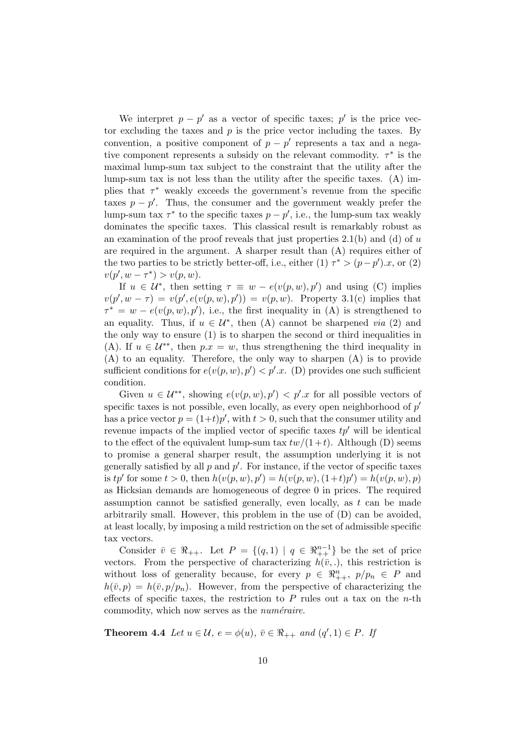We interpret  $p - p'$  as a vector of specific taxes; p' is the price vector excluding the taxes and  $p$  is the price vector including the taxes. By convention, a positive component of  $p - p'$  represents a tax and a negative component represents a subsidy on the relevant commodity.  $\tau^*$  is the maximal lump-sum tax subject to the constraint that the utility after the lump-sum tax is not less than the utility after the specific taxes. (A) implies that  $\tau^*$  weakly exceeds the government's revenue from the specific taxes  $p - p'$ . Thus, the consumer and the government weakly prefer the lump-sum tax  $\tau^*$  to the specific taxes  $p - p'$ , i.e., the lump-sum tax weakly dominates the specific taxes. This classical result is remarkably robust as an examination of the proof reveals that just properties  $2.1(b)$  and (d) of u are required in the argument. A sharper result than (A) requires either of the two parties to be strictly better-off, i.e., either (1)  $\tau^* > (p - p') \cdot x$ , or (2)  $v(p', w - \tau^*) > v(p, w).$ 

If  $u \in \mathcal{U}^*$ , then setting  $\tau \equiv w - e(v(p, w), p')$  and using (C) implies  $v(p', w - \tau) = v(p', e(v(p, w), p')) = v(p, w)$ . Property 3.1(c) implies that  $\tau^* = w - e(v(p, w), p')$ , i.e., the first inequality in (A) is strengthened to an equality. Thus, if  $u \in \mathcal{U}^*$ , then (A) cannot be sharpened *via* (2) and the only way to ensure (1) is to sharpen the second or third inequalities in (A). If  $u \in \mathcal{U}^{**}$ , then  $p.x = w$ , thus strengthening the third inequality in (A) to an equality. Therefore, the only way to sharpen (A) is to provide sufficient conditions for  $e(v(p, w), p') < p'.x$ . (D) provides one such sufficient condition.

Given  $u \in \mathcal{U}^{**}$ , showing  $e(v(p, w), p') < p'.x$  for all possible vectors of specific taxes is not possible, even locally, as every open neighborhood of  $p'$ has a price vector  $p = (1+t)p'$ , with  $t > 0$ , such that the consumer utility and revenue impacts of the implied vector of specific taxes  $tp'$  will be identical to the effect of the equivalent lump-sum tax  $tw/(1+t)$ . Although (D) seems to promise a general sharper result, the assumption underlying it is not generally satisfied by all  $p$  and  $p'$ . For instance, if the vector of specific taxes is tp' for some  $t > 0$ , then  $h(v(p, w), p') = h(v(p, w), (1+t)p') = h(v(p, w), p)$ as Hicksian demands are homogeneous of degree 0 in prices. The required assumption cannot be satisfied generally, even locally, as  $t$  can be made arbitrarily small. However, this problem in the use of  $(D)$  can be avoided, at least locally, by imposing a mild restriction on the set of admissible specific tax vectors.

Consider  $\bar{v} \in \Re_{++}$ . Let  $P = \{(q,1) | q \in \Re_{++}^{n-1}\}\$ be the set of price vectors. From the perspective of characterizing  $h(\bar{v},.)$ , this restriction is without loss of generality because, for every  $p \in \mathbb{R}_{++}^n$ ,  $p/p_n \in P$  and  $h(\bar{v}, p) = h(\bar{v}, p/p_n)$ . However, from the perspective of characterizing the effects of specific taxes, the restriction to  $P$  rules out a tax on the *n*-th commodity, which now serves as the  $numéraire$ .

**Theorem 4.4** Let  $u \in \mathcal{U}$ ,  $e = \phi(u)$ ,  $\overline{v} \in \Re_{++}$  and  $(q', 1) \in P$ . If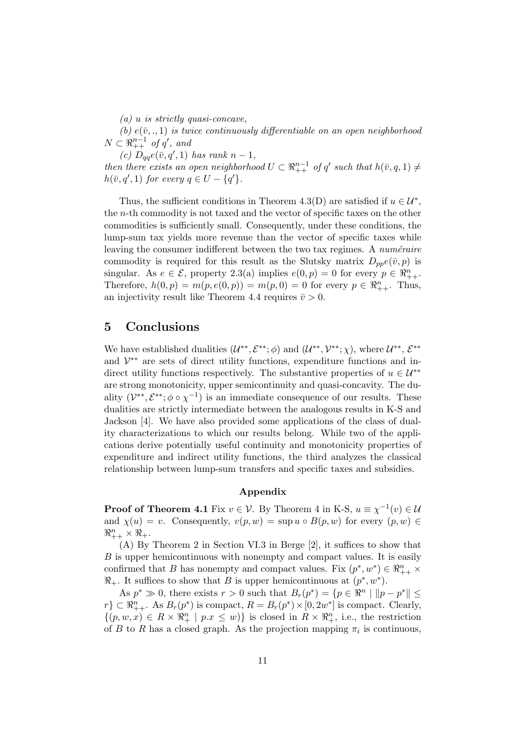$(a)$  u is strictly quasi-concave,

(b)  $e(\bar{v},.,1)$  is twice continuously differentiable on an open neighborhood  $N \subset \mathbb{R}_{++}^{n-1}$  of  $q'$ , and

(c)  $D_{qq}e(\bar{v}, q', 1)$  has rank  $n-1$ ,

then there exists an open neighborhood  $U \subset \mathbb{R}_{++}^{n-1}$  of q' such that  $h(\bar{v}, q, 1) \neq$  $h(\bar{v}, q', 1)$  for every  $q \in U - \{q'\}.$ 

Thus, the sufficient conditions in Theorem 4.3(D) are satisfied if  $u \in \mathcal{U}^*$ , the n-th commodity is not taxed and the vector of specific taxes on the other commodities is sufficiently small. Consequently, under these conditions, the lump-sum tax yields more revenue than the vector of specific taxes while leaving the consumer indifferent between the two tax regimes. A *numéraire* commodity is required for this result as the Slutsky matrix  $D_{pp}e(\bar{v}, p)$  is singular. As  $e \in \mathcal{E}$ , property 2.3(a) implies  $e(0, p) = 0$  for every  $p \in \Re_{++}^n$ . Therefore,  $h(0, p) = m(p, e(0, p)) = m(p, 0) = 0$  for every  $p \in \Re_{++}^n$ . Thus, an injectivity result like Theorem 4.4 requires  $\bar{v} > 0$ .

#### 5 Conclusions

We have established dualities  $(\mathcal{U}^{**}, \mathcal{E}^{**}; \phi)$  and  $(\mathcal{U}^{**}, \mathcal{V}^{**}; \chi)$ , where  $\mathcal{U}^{**}, \mathcal{E}^{**}$ and  $\mathcal{V}^{**}$  are sets of direct utility functions, expenditure functions and indirect utility functions respectively. The substantive properties of  $u \in \mathcal{U}^{**}$ are strong monotonicity, upper semicontinuity and quasi-concavity. The duality  $(\mathcal{V}^{**}, \mathcal{E}^{**}; \phi \circ \chi^{-1})$  is an immediate consequence of our results. These dualities are strictly intermediate between the analogous results in K-S and Jackson [4]. We have also provided some applications of the class of duality characterizations to which our results belong. While two of the applications derive potentially useful continuity and monotonicity properties of expenditure and indirect utility functions, the third analyzes the classical relationship between lump-sum transfers and specific taxes and subsidies.

#### Appendix

**Proof of Theorem 4.1** Fix  $v \in V$ . By Theorem 4 in K-S,  $u \equiv \chi^{-1}(v) \in \mathcal{U}$ and  $\chi(u) = v$ . Consequently,  $v(p, w) = \sup u \circ B(p, w)$  for every  $(p, w) \in$  $\Re_{++}^n \times \Re_+.$ 

(A) By Theorem 2 in Section VI.3 in Berge [2], it suffices to show that B is upper hemicontinuous with nonempty and compact values. It is easily confirmed that B has nonempty and compact values. Fix  $(p^*, w^*) \in \Re_{++}^n \times$  $\mathbb{R}_+$ . It suffices to show that B is upper hemicontinuous at  $(p^*, w^*)$ .

As  $p^* \gg 0$ , there exists  $r > 0$  such that  $B_r(p^*) = \{p \in \mathbb{R}^n \mid ||p - p^*|| \leq$  $r\} \subset \mathbb{R}_{++}^n$ . As  $B_r(p^*)$  is compact,  $R = B_r(p^*) \times [0, 2w^*]$  is compact. Clearly,  $\{(p, w, x) \in R \times \mathbb{R}_{+}^{n} \mid p.x \leq w)\}\$ is closed in  $R \times \mathbb{R}_{+}^{n}$ , i.e., the restriction of B to R has a closed graph. As the projection mapping  $\pi_i$  is continuous,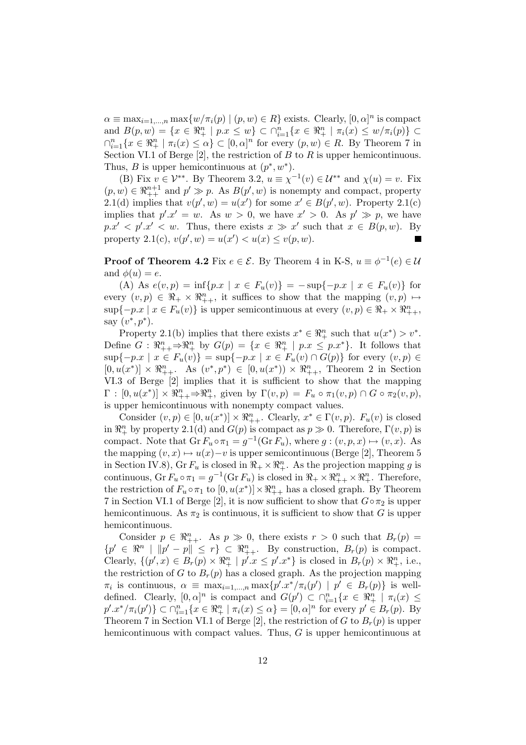$\alpha \equiv \max_{i=1,\dots,n} \max\{w/\pi_i(p) \mid (p,w) \in R\}$  exists. Clearly,  $[0,\alpha]^n$  is compact and  $B(p, w) = \{x \in \Re_+^n \mid p.x \leq w\} \subset \bigcap_{i=1}^n \{x \in \Re_+^n \mid \pi_i(x) \leq w/\pi_i(p)\} \subset$  $\bigcap_{i=1}^n \{x \in \mathbb{R}^n_+ \mid \pi_i(x) \leq \alpha\} \subset [0,\alpha]^n$  for every  $(p,w) \in R$ . By Theorem 7 in Section VI.1 of Berge [2], the restriction of  $B$  to  $R$  is upper hemicontinuous. Thus, B is upper hemicontinuous at  $(p^*, w^*)$ .

(B) Fix  $v \in \mathcal{V}^{**}$ . By Theorem 3.2,  $u \equiv \chi^{-1}(v) \in \mathcal{U}^{**}$  and  $\chi(u) = v$ . Fix  $(p, w) \in \mathbb{R}^{n+1}_{++}$  and  $p' \gg p$ . As  $B(p', w)$  is nonempty and compact, property 2.1(d) implies that  $v(p', w) = u(x')$  for some  $x' \in B(p', w)$ . Property 2.1(c) implies that  $p' \text{.} x' = w$ . As  $w > 0$ , we have  $x' > 0$ . As  $p' \gg p$ , we have  $p.x' < p'.x' < w$ . Thus, there exists  $x \gg x'$  such that  $x \in B(p,w)$ . By property 2.1(c),  $v(p', w) = u(x') < u(x) \le v(p, w)$ .  $\blacksquare$ 

**Proof of Theorem 4.2** Fix  $e \in \mathcal{E}$ . By Theorem 4 in K-S,  $u \equiv \phi^{-1}(e) \in \mathcal{U}$ and  $\phi(u) = e$ .

(A) As  $e(v, p) = \inf\{p \in x \mid x \in F_u(v)\} = -\sup\{-p \in x \mid x \in F_u(v)\}$  for every  $(v, p) \in \mathbb{R}_+ \times \mathbb{R}_{++}^n$ , it suffices to show that the mapping  $(v, p) \mapsto$  $\sup\{-p.x \mid x \in F_u(v)\}\$ is upper semicontinuous at every  $(v, p) \in \Re_+ \times \Re_{++}^n,$ say  $(v^*, p^*)$ .

Property 2.1(b) implies that there exists  $x^* \in \mathbb{R}^n_+$  such that  $u(x^*) > v^*$ . Define  $G: \mathbb{R}_{++}^n \to \mathbb{R}_{+}^n$  by  $G(p) = \{x \in \mathbb{R}_{+}^n \mid p.x \leq p.x^*\}$ . It follows that  $\sup\{-p.x \mid x \in F_u(v)\} = \sup\{-p.x \mid x \in F_u(v) \cap G(p)\}\$  for every  $(v, p) \in$  $[0, u(x^*)] \times \mathbb{R}_{++}^n$ . As  $(v^*, p^*) \in [0, u(x^*)) \times \mathbb{R}_{++}^n$ , Theorem 2 in Section VI.3 of Berge [2] implies that it is sufficient to show that the mapping  $\Gamma : [0, u(x^*)] \times \mathbb{R}^n_{++} \Rightarrow \mathbb{R}^n_+$ , given by  $\Gamma(v, p) = F_u \circ \pi_1(v, p) \cap G \circ \pi_2(v, p)$ , is upper hemicontinuous with nonempty compact values.

Consider  $(v, p) \in [0, u(x^*)] \times \mathbb{R}_{++}^n$ . Clearly,  $x^* \in \Gamma(v, p)$ .  $F_u(v)$  is closed in  $\mathbb{R}^n_+$  by property 2.1(d) and  $G(p)$  is compact as  $p \gg 0$ . Therefore,  $\Gamma(v, p)$  is compact. Note that  $\text{Gr } F_u \circ \pi_1 = g^{-1}(\text{Gr } F_u)$ , where  $g: (v, p, x) \mapsto (v, x)$ . As the mapping  $(v, x) \mapsto u(x)-v$  is upper semicontinuous (Berge [2], Theorem 5 in Section IV.8), Gr  $F_u$  is closed in  $\mathbb{R}_+ \times \mathbb{R}_+^n$ . As the projection mapping g is continuous,  $\text{Gr } F_u \circ \pi_1 = g^{-1}(\text{Gr } F_u)$  is closed in  $\mathbb{R}_+ \times \mathbb{R}^n_{++} \times \mathbb{R}^n_+$ . Therefore, the restriction of  $F_u \circ \pi_1$  to  $[0, u(x^*)] \times \mathbb{R}_{++}^n$  has a closed graph. By Theorem 7 in Section VI.1 of Berge [2], it is now sufficient to show that  $G \circ \pi_2$  is upper hemicontinuous. As  $\pi_2$  is continuous, it is sufficient to show that G is upper hemicontinuous.

Consider  $p \in \mathbb{R}_{++}^n$ . As  $p \gg 0$ , there exists  $r > 0$  such that  $B_r(p) =$  ${p' \in \mathbb{R}^n \mid ||p'-p|| \leq r} \subset \mathbb{R}_{++}^n$ . By construction,  $B_r(p)$  is compact. Clearly,  $\{(p',x)\in B_r(p)\times\Re_+^n \mid p'.x\leq p'.x^*\}$  is closed in  $B_r(p)\times\Re_+^n$ , i.e., the restriction of G to  $B_r(p)$  has a closed graph. As the projection mapping  $\pi_i$  is continuous,  $\alpha \equiv \max_{i=1,\dots,n} \max \{p'.x^*/\pi_i(p') \mid p' \in B_r(p)\}\$ is welldefined. Clearly,  $[0, \alpha]^n$  is compact and  $G(p') \subset \bigcap_{i=1}^n \{x \in \Re^n_+ \mid \pi_i(x) \leq$  $p'.x^*/\pi_i(p')\} \subset \bigcap_{i=1}^n \{x \in \Re_+^n \mid \pi_i(x) \leq \alpha\} = [0, \alpha]^n$  for every  $p' \in B_r(p)$ . By Theorem 7 in Section VI.1 of Berge [2], the restriction of G to  $B_r(p)$  is upper hemicontinuous with compact values. Thus, G is upper hemicontinuous at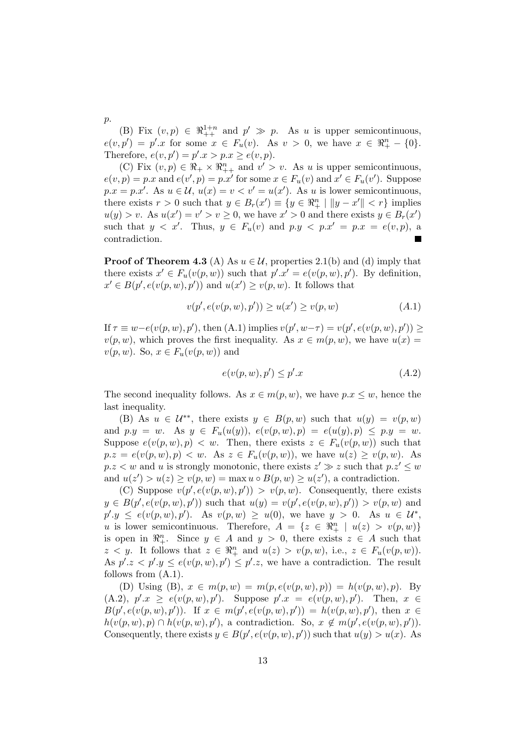(B) Fix  $(v, p) \in \mathbb{R}^{1+n}_{++}$  and  $p' \gg p$ . As u is upper semicontinuous,  $e(v, p') = p'.x$  for some  $x \in F_u(v)$ . As  $v > 0$ , we have  $x \in \Re^n_+ - \{0\}.$ Therefore,  $e(v, p') = p'.x > p.x \ge e(v, p).$ 

(C) Fix  $(v, p) \in \mathbb{R}_+ \times \mathbb{R}_{++}^n$  and  $v' > v$ . As u is upper semicontinuous,  $e(v, p) = p.x$  and  $e(v', p) = p.x'$  for some  $x \in F_u(v)$  and  $x' \in F_u(v')$ . Suppose  $p.x = p.x'$ . As  $u \in \mathcal{U}$ ,  $u(x) = v < v' = u(x')$ . As u is lower semicontinuous, there exists  $r > 0$  such that  $y \in B_r(x') \equiv \{y \in \mathbb{R}^n_+ \mid ||y - x'|| < r\}$  implies  $u(y) > v$ . As  $u(x') = v' > v \ge 0$ , we have  $x' > 0$  and there exists  $y \in B_r(x')$ such that  $y < x'$ . Thus,  $y \in F_u(v)$  and  $p.y < p.x' = p.x = e(v, p)$ , a contradiction.

**Proof of Theorem 4.3** (A) As  $u \in \mathcal{U}$ , properties 2.1(b) and (d) imply that there exists  $x' \in F_u(v(p, w))$  such that  $p'.x' = e(v(p, w), p')$ . By definition,  $x' \in B(p', e(v(p, w), p'))$  and  $u(x') \ge v(p, w)$ . It follows that

$$
v(p', e(v(p, w), p')) \ge u(x') \ge v(p, w)
$$
\n(A.1)

If  $\tau \equiv w - e(v(p, w), p')$ , then  $(A.1)$  implies  $v(p', w - \tau) = v(p', e(v(p, w), p')) \ge$  $v(p, w)$ , which proves the first inequality. As  $x \in m(p, w)$ , we have  $u(x) =$  $v(p, w)$ . So,  $x \in F_u(v(p, w))$  and

$$
e(v(p, w), p') \le p'.x \tag{A.2}
$$

The second inequality follows. As  $x \in m(p, w)$ , we have  $p.x \leq w$ , hence the last inequality.

(B) As  $u \in \mathcal{U}^{**}$ , there exists  $y \in B(p, w)$  such that  $u(y) = v(p, w)$ and  $p.y = w$ . As  $y \in F_u(u(y))$ ,  $e(v(p, w), p) = e(u(y), p) \leq p.y = w$ . Suppose  $e(v(p, w), p) < w$ . Then, there exists  $z \in F_u(v(p, w))$  such that  $p.z = e(v(p, w), p) < w$ . As  $z \in F_u(v(p, w))$ , we have  $u(z) \ge v(p, w)$ . As  $p.z < w$  and u is strongly monotonic, there exists  $z' \gg z$  such that  $p.z' \leq w$ and  $u(z') > u(z) \ge v(p, w) = \max u \circ B(p, w) \ge u(z')$ , a contradiction.

(C) Suppose  $v(p', e(v(p, w), p')) > v(p, w)$ . Consequently, there exists  $y \in B(p', e(v(p, w), p'))$  such that  $u(y) = v(p', e(v(p, w), p')) > v(p, w)$  and  $p'.y \leq e(v(p,w), p').$  As  $v(p,w) \geq u(0)$ , we have  $y > 0$ . As  $u \in \mathcal{U}^*$ , u is lower semicontinuous. Therefore,  $A = \{z \in \mathbb{R}_+^n \mid u(z) > v(p, w)\}\$ is open in  $\mathbb{R}^n_+$ . Since  $y \in A$  and  $y > 0$ , there exists  $z \in A$  such that  $z < y$ . It follows that  $z \in \mathbb{R}^n_+$  and  $u(z) > v(p, w)$ , i.e.,  $z \in F_u(v(p, w))$ . As  $p'.z < p'.y \leq e(v(p,w), p') \leq p'.z$ , we have a contradiction. The result follows from (A.1).

(D) Using (B),  $x \in m(p, w) = m(p, e(v(p, w), p)) = h(v(p, w), p)$ . By  $(A.2), p'.x \geq e(v(p,w), p').$  Suppose  $p'.x = e(v(p,w), p').$  Then,  $x \in$  $B(p', e(v(p, w), p'))$ . If  $x \in m(p', e(v(p, w), p')) = h(v(p, w), p')$ , then  $x \in$  $h(v(p, w), p) \cap h(v(p, w), p')$ , a contradiction. So,  $x \notin m(p', e(v(p, w), p'))$ . Consequently, there exists  $y \in B(p', e(v(p, w), p'))$  such that  $u(y) > u(x)$ . As

p.